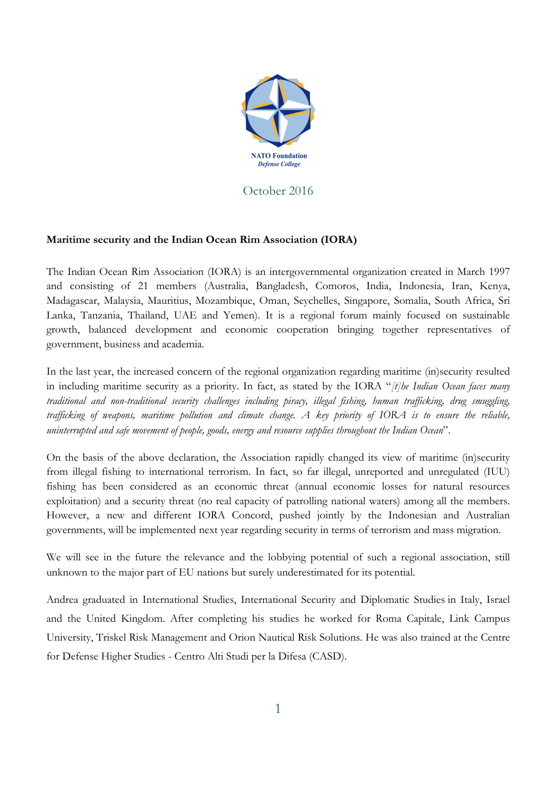

October 2016

## **Maritime security and the Indian Ocean Rim Association (IORA)**

The Indian Ocean Rim Association (IORA) is an intergovernmental organization created in March 1997 and consisting of 21 members (Australia, Bangladesh, Comoros, India, Indonesia, Iran, Kenya, Madagascar, Malaysia, Mauritius, Mozambique, Oman, Seychelles, Singapore, Somalia, South Africa, Sri Lanka, Tanzania, Thailand, UAE and Yemen). It is a regional forum mainly focused on sustainable growth, balanced development and economic cooperation bringing together representatives of government, business and academia.

In the last year, the increased concern of the regional organization regarding maritime (in)security resulted in including maritime security as a priority. In fact, as stated by the IORA "*[t]he Indian Ocean faces many traditional and non-traditional security challenges including piracy, illegal fishing, human trafficking, drug smuggling, trafficking of weapons, maritime pollution and climate change. A key priority of IORA is to ensure the reliable, uninterrupted and safe movement of people, goods, energy and resource supplies throughout the Indian Ocean*".

On the basis of the above declaration, the Association rapidly changed its view of maritime (in)security from illegal fishing to international terrorism. In fact, so far illegal, unreported and unregulated (IUU) fishing has been considered as an economic threat (annual economic losses for natural resources exploitation) and a security threat (no real capacity of patrolling national waters) among all the members. However, a new and different IORA Concord, pushed jointly by the Indonesian and Australian governments, will be implemented next year regarding security in terms of terrorism and mass migration.

We will see in the future the relevance and the lobbying potential of such a regional association, still unknown to the major part of EU nations but surely underestimated for its potential.

Andrea graduated in International Studies, International Security and Diplomatic Studies in Italy, Israel and the United Kingdom. After completing his studies he worked for Roma Capitale, Link Campus University, Triskel Risk Management and Orion Nautical Risk Solutions. He was also trained at the Centre for Defense Higher Studies - Centro Alti Studi per la Difesa (CASD).